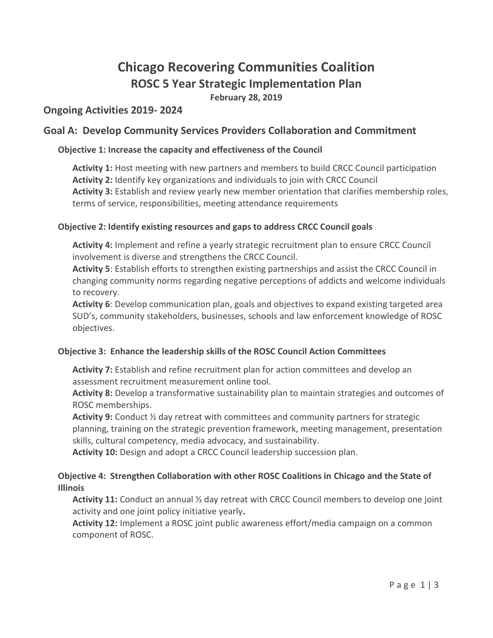# **Chicago Recovering Communities Coalition ROSC 5 Year Strategic Implementation Plan**

**February 28, 2019**

# **Ongoing Activities 2019- 2024**

# **Goal A: Develop Community Services Providers Collaboration and Commitment**

## **Objective 1: Increase the capacity and effectiveness of the Council**

**Activity 1:** Host meeting with new partners and members to build CRCC Council participation **Activity 2:** Identify key organizations and individuals to join with CRCC Council **Activity 3:** Establish and review yearly new member orientation that clarifies membership roles, terms of service, responsibilities, meeting attendance requirements

#### **Objective 2: Identify existing resources and gaps to address CRCC Council goals**

**Activity 4:** Implement and refine a yearly strategic recruitment plan to ensure CRCC Council involvement is diverse and strengthens the CRCC Council.

**Activity 5**: Establish efforts to strengthen existing partnerships and assist the CRCC Council in changing community norms regarding negative perceptions of addicts and welcome individuals to recovery.

**Activity 6**: Develop communication plan, goals and objectives to expand existing targeted area SUD's, community stakeholders, businesses, schools and law enforcement knowledge of ROSC objectives.

#### **Objective 3: Enhance the leadership skills of the ROSC Council Action Committees**

**Activity 7:** Establish and refine recruitment plan for action committees and develop an assessment recruitment measurement online tool.

**Activity 8:** Develop a transformative sustainability plan to maintain strategies and outcomes of ROSC memberships.

**Activity 9:** Conduct ½ day retreat with committees and community partners for strategic planning, training on the strategic prevention framework, meeting management, presentation skills, cultural competency, media advocacy, and sustainability.

**Activity 10:** Design and adopt a CRCC Council leadership succession plan.

#### **Objective 4: Strengthen Collaboration with other ROSC Coalitions in Chicago and the State of Illinois**

**Activity 11:** Conduct an annual ½ day retreat with CRCC Council members to develop one joint activity and one joint policy initiative yearly**.**

**Activity 12:** Implement a ROSC joint public awareness effort/media campaign on a common component of ROSC.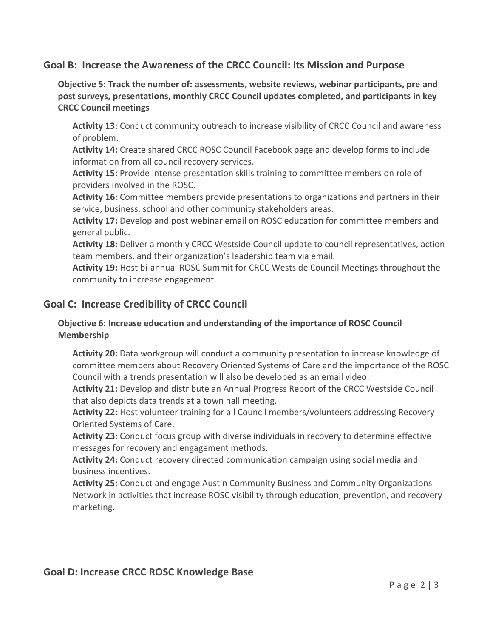## **Goal B: Increase the Awareness of the CRCC Council: Its Mission and Purpose**

**Objective 5: Track the number of: assessments, website reviews, webinar participants, pre and post surveys, presentations, monthly CRCC Council updates completed, and participants in key CRCC Council meetings**

**Activity 13:** Conduct community outreach to increase visibility of CRCC Council and awareness of problem.

**Activity 14:** Create shared CRCC ROSC Council Facebook page and develop forms to include information from all council recovery services.

**Activity 15:** Provide intense presentation skills training to committee members on role of providers involved in the ROSC.

**Activity 16:** Committee members provide presentations to organizations and partners in their service, business, school and other community stakeholders areas.

**Activity 17:** Develop and post webinar email on ROSC education for committee members and general public.

**Activity 18:** Deliver a monthly CRCC Westside Council update to council representatives, action team members, and their organization's leadership team via email.

**Activity 19:** Host bi-annual ROSC Summit for CRCC Westside Council Meetings throughout the community to increase engagement.

## **Goal C: Increase Credibility of CRCC Council**

#### **Objective 6: Increase education and understanding of the importance of ROSC Council Membership**

**Activity 20:** Data workgroup will conduct a community presentation to increase knowledge of committee members about Recovery Oriented Systems of Care and the importance of the ROSC Council with a trends presentation will also be developed as an email video.

**Activity 21:** Develop and distribute an Annual Progress Report of the CRCC Westside Council that also depicts data trends at a town hall meeting.

**Activity 22:** Host volunteer training for all Council members/volunteers addressing Recovery Oriented Systems of Care.

**Activity 23:** Conduct focus group with diverse individuals in recovery to determine effective messages for recovery and engagement methods.

**Activity 24:** Conduct recovery directed communication campaign using social media and business incentives.

**Activity 25:** Conduct and engage Austin Community Business and Community Organizations Network in activities that increase ROSC visibility through education, prevention, and recovery marketing.